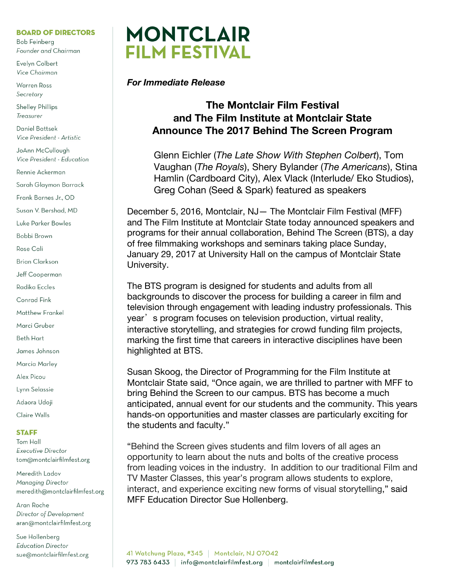### **BOARD OF DIRECTORS**

**Bob Feinberg** Founder and Chairman

Evelyn Colbert Vice Chairman

**Warren Ross** Secretary

**Shelley Phillips** Treasurer

**Daniel Battsek** Vice President - Artistic

JoAnn McCullough Vice President - Education

Rennie Ackerman

Sarah Glaymon Barrack

Frank Barnes Jr., OD

Susan V. Bershad, MD

Luke Parker Bowles

Bobbi Brown

Rose Cali

**Brian Clarkson** 

Jeff Cooperman

Radika Eccles

Conrad Fink

**Matthew Frankel** 

Marci Gruber

**Beth Hart** 

James Johnson

Marcia Marley

Alex Picou

Lynn Selassie

Adaora Udoji

Claire Walls

### **STAFF**

Tom Hall **Executive Director** tom@montclairfilmfest.org

Meredith Ladov Managing Director meredith@montclairfilmfest.org

Aran Roche Director of Development aran@montclairfilmfest.org

Sue Hollenberg **Education Director** sue@montclairfilmfest.org



# **For Immediate Release**

# **The Montclair Film Festival** and The Film Institute at Montclair State **Announce The 2017 Behind The Screen Program**

Glenn Eichler (The Late Show With Stephen Colbert), Tom Vaughan (The Royals), Shery Bylander (The Americans), Stina Hamlin (Cardboard City), Alex Vlack (Interlude/ Eko Studios), Greg Cohan (Seed & Spark) featured as speakers

December 5, 2016, Montclair, NJ - The Montclair Film Festival (MFF) and The Film Institute at Montclair State today announced speakers and programs for their annual collaboration, Behind The Screen (BTS), a day of free filmmaking workshops and seminars taking place Sunday, January 29, 2017 at University Hall on the campus of Montclair State University.

The BTS program is designed for students and adults from all backgrounds to discover the process for building a career in film and television through engagement with leading industry professionals. This year' s program focuses on television production, virtual reality, interactive storytelling, and strategies for crowd funding film projects, marking the first time that careers in interactive disciplines have been highlighted at BTS.

Susan Skoog, the Director of Programming for the Film Institute at Montclair State said, "Once again, we are thrilled to partner with MFF to bring Behind the Screen to our campus. BTS has become a much anticipated, annual event for our students and the community. This years hands-on opportunities and master classes are particularly exciting for the students and faculty."

"Behind the Screen gives students and film lovers of all ages an opportunity to learn about the nuts and bolts of the creative process from leading voices in the industry. In addition to our traditional Film and TV Master Classes, this year's program allows students to explore, interact, and experience exciting new forms of visual storytelling," said MFF Education Director Sue Hollenberg.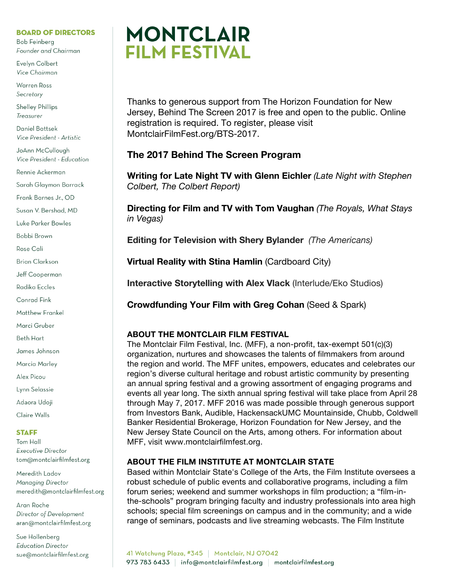### **BOARD OF DIRECTORS**

**Bob Feinberg** Founder and Chairman

Evelyn Colbert Vice Chairman

**Warren Ross** Secretary

**Shelley Phillips** Treasurer

Daniel Battsek Vice President - Artistic

JoAnn McCullough Vice President - Education

Rennie Ackerman

Sarah Glaymon Barrack

Frank Barnes Jr., OD

Susan V. Bershad, MD

Luke Parker Bowles

Bobbi Brown

Rose Cali

**Brian Clarkson** 

Jeff Cooperman

Radika Eccles

Conrad Fink

**Matthew Frankel** 

Marci Gruber

Beth Hart

James Johnson

Marcia Marley

Alex Picou

Lynn Selassie

Adaora Udoji

Claire Walls

### **STAFF**

Tom Hall **Executive Director** tom@montclairfilmfest.org

Meredith Ladov Managing Director meredith@montclairfilmfest.org

Aran Roche Director of Development aran@montclairfilmfest.org

Sue Hollenberg **Education Director** sue@montclairfilmfest.org



Thanks to generous support from The Horizon Foundation for New Jersey, Behind The Screen 2017 is free and open to the public. Online registration is required. To register, please visit MontclairFilmFest.org/BTS-2017.

# **The 2017 Behind The Screen Program**

**Writing for Late Night TV with Glenn Eichler** *(Late Night with Stephen Colbert, The Colbert Report)*

**Directing for Film and TV with Tom Vaughan** *(The Royals, What Stays in Vegas)*

**Editing for Television with Shery Bylander** *(The Americans)*

**Virtual Reality with Stina Hamlin** (Cardboard City)

**Interactive Storytelling with Alex Vlack** (Interlude/Eko Studios)

**Crowdfunding Your Film with Greg Cohan** (Seed & Spark)

## **ABOUT THE MONTCLAIR FILM FESTIVAL**

The Montclair Film Festival, Inc. (MFF), a non-profit, tax-exempt 501(c)(3) organization, nurtures and showcases the talents of filmmakers from around the region and world. The MFF unites, empowers, educates and celebrates our region's diverse cultural heritage and robust artistic community by presenting an annual spring festival and a growing assortment of engaging programs and events all year long. The sixth annual spring festival will take place from April 28 through May 7, 2017. MFF 2016 was made possible through generous support from Investors Bank, Audible, HackensackUMC Mountainside, Chubb, Coldwell Banker Residential Brokerage, Horizon Foundation for New Jersey, and the New Jersey State Council on the Arts, among others. For information about MFF, visit www.montclairfilmfest.org.

## **ABOUT THE FILM INSTITUTE AT MONTCLAIR STATE**

Based within Montclair State's College of the Arts, the Film Institute oversees a robust schedule of public events and collaborative programs, including a film forum series; weekend and summer workshops in film production; a "film-inthe-schools" program bringing faculty and industry professionals into area high schools; special film screenings on campus and in the community; and a wide range of seminars, podcasts and live streaming webcasts. The Film Institute